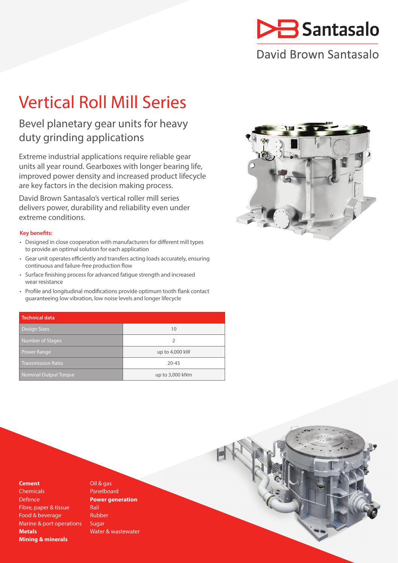

# David Brown Santasalo

# Vertical Roll Mill Series

## Bevel planetary gear units for heavy duty grinding applications

Extreme industrial applications require reliable gear units all year round. Gearboxes with longer bearing life, improved power density and increased product lifecycle are key factors in the decision making process.

David Brown Santasalo's vertical roller mill series delivers power, durability and reliability even under extreme conditions.

### **Key benefits:**

- Designed in close cooperation with manufacturers for different mill types to provide an optimal solution for each application
- Gear unit operates efficiently and transfers acting loads accurately, ensuring continuous and failure-free production flow
- Surface finishing process for advanced fatigue strength and increased wear resistance
- Profile and longitudinal modifications provide optimum tooth flank contact guaranteeing low vibration, low noise levels and longer lifecycle

| <b>Technical data</b>        |                 |
|------------------------------|-----------------|
| <b>Design Sizes</b>          | 10              |
| Number of Stages             | 2               |
| Power Range                  | up to 4,000 kW  |
| <b>Transmission Ratio</b>    | $20 - 45$       |
| <b>Nominal Output Torque</b> | up to 3,000 kNm |



### **Cement**

**Chemicals** Defence Fibre, paper & tissue Food & beverage Marine & port operations **Metals Mining & minerals**

Oil & gas Panelboard **Power generation** Rail Rubber Sugar Water & wastewater